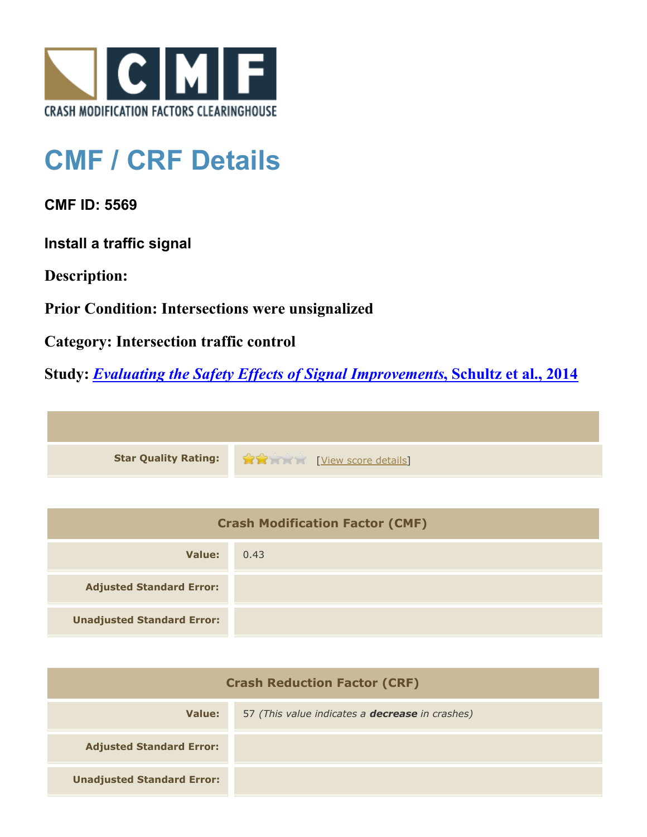

## **CMF / CRF Details**

**CMF ID: 5569**

**Install a traffic signal**

**Description:** 

**Prior Condition: Intersections were unsignalized**

**Category: Intersection traffic control**

**Study:** *[Evaluating the Safety Effects of Signal Improvements](http://www.cmfclearinghouse.org/study_detail.cfm?stid=364)***[, Schultz et al., 2014](http://www.cmfclearinghouse.org/study_detail.cfm?stid=364)**



| <b>Crash Modification Factor (CMF)</b> |      |  |
|----------------------------------------|------|--|
| Value:                                 | 0.43 |  |
| <b>Adjusted Standard Error:</b>        |      |  |
| <b>Unadjusted Standard Error:</b>      |      |  |

| <b>Crash Reduction Factor (CRF)</b> |                                                        |  |
|-------------------------------------|--------------------------------------------------------|--|
| Value:                              | 57 (This value indicates a <b>decrease</b> in crashes) |  |
| <b>Adjusted Standard Error:</b>     |                                                        |  |
| <b>Unadjusted Standard Error:</b>   |                                                        |  |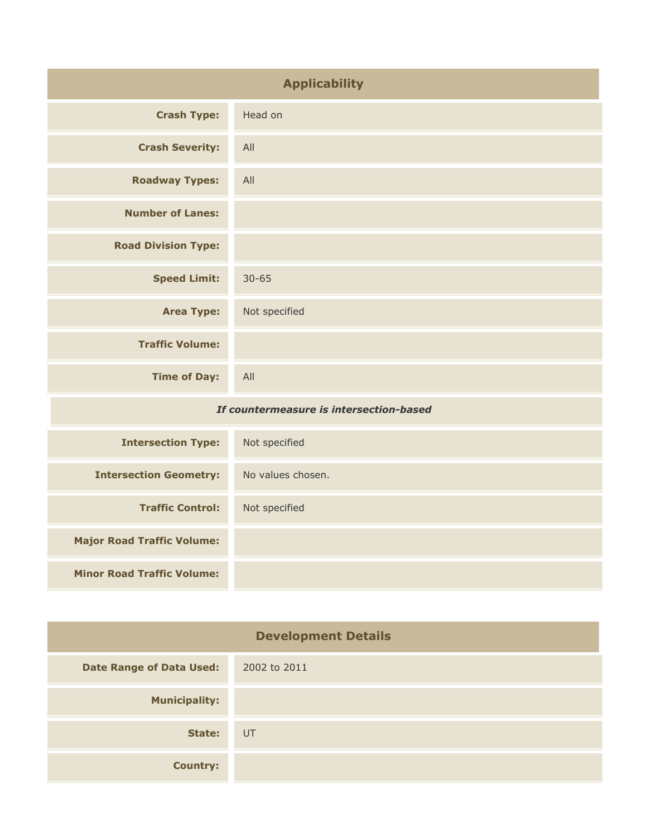| <b>Applicability</b>                    |                   |
|-----------------------------------------|-------------------|
| <b>Crash Type:</b>                      | Head on           |
| <b>Crash Severity:</b>                  | All               |
| <b>Roadway Types:</b>                   | All               |
| <b>Number of Lanes:</b>                 |                   |
| <b>Road Division Type:</b>              |                   |
| <b>Speed Limit:</b>                     | $30 - 65$         |
| <b>Area Type:</b>                       | Not specified     |
| <b>Traffic Volume:</b>                  |                   |
| <b>Time of Day:</b>                     | All               |
| If countermeasure is intersection-based |                   |
| <b>Intersection Type:</b>               | Not specified     |
| <b>Intersection Geometry:</b>           | No values chosen. |
| <b>Traffic Control:</b>                 | Not specified     |
| <b>Major Road Traffic Volume:</b>       |                   |

**Minor Road Traffic Volume:**

| <b>Development Details</b>      |              |
|---------------------------------|--------------|
| <b>Date Range of Data Used:</b> | 2002 to 2011 |
| <b>Municipality:</b>            |              |
| State:                          | UT           |
| <b>Country:</b>                 |              |